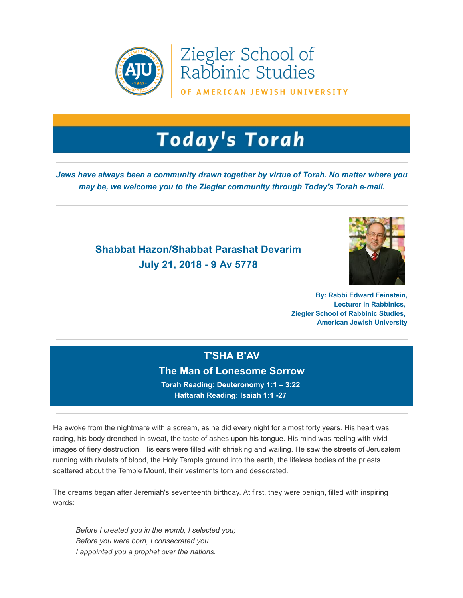

Ziegler School of<br>Rabbinic Studies

OF AMERICAN JEWISH UNIVERSITY

# **Today's Torah**

*Jews have always been a community drawn together by virtue of Torah. No matter where you may be, we welcome you to the Ziegler community through Today's Torah e-mail.*

# **Shabbat Hazon/Shabbat Parashat Devarim July 21, 2018 - 9 Av 5778**



**By: Rabbi Edward Feinstein, Lecturer in Rabbinics, Ziegler School of Rabbinic Studies, American Jewish University**

## **T'SHA B'AV**

#### **The Man of Lonesome Sorrow**

**Torah Reading: [Deuteronomy 1:1 – 3:22](https://t.e2ma.net/click/sfbpx/sziwr0/c36gli)  Haftarah Reading: [Isaiah 1:1 -27](https://t.e2ma.net/click/sfbpx/sziwr0/sv7gli)** 

He awoke from the nightmare with a scream, as he did every night for almost forty years. His heart was racing, his body drenched in sweat, the taste of ashes upon his tongue. His mind was reeling with vivid images of fiery destruction. His ears were filled with shrieking and wailing. He saw the streets of Jerusalem running with rivulets of blood, the Holy Temple ground into the earth, the lifeless bodies of the priests scattered about the Temple Mount, their vestments torn and desecrated.  

The dreams began after Jeremiah's seventeenth birthday. At first, they were benign, filled with inspiring words:

*Before I created you in the womb, I selected you; Before you were born, I consecrated you. I appointed you a prophet over the nations.*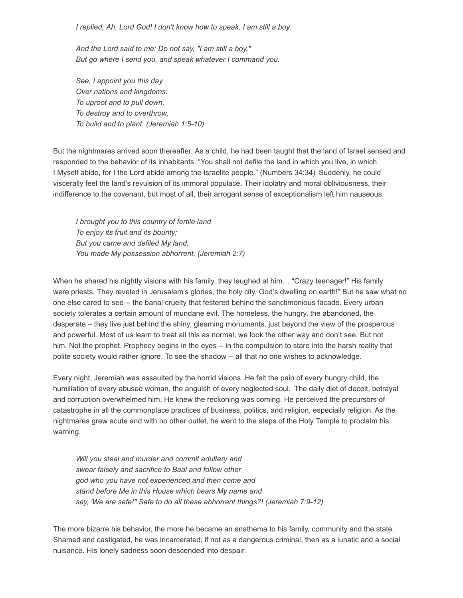*I replied, Ah, Lord God! I don't know how to speak, I am still a boy.* 

*And the Lord said to me: Do not say, "I am still a boy," But go where I send you, and speak whatever I command you.* 

*See, I appoint you this day Over nations and kingdoms: To uproot and to pull down, To destroy and to overthrow, To build and to plant. (Jeremiah 1:5-10)* 

But the nightmares arrived soon thereafter. As a child, he had been taught that the land of Israel sensed and responded to the behavior of its inhabitants. "You shall not defile the land in which you live, in which I Myself abide, for I the Lord abide among the Israelite people." (Numbers 34:34)  Suddenly, he could viscerally feel the land's revulsion of its immoral populace. Their idolatry and moral obliviousness, their indifference to the covenant, but most of all, their arrogant sense of exceptionalism left him nauseous.

*I brought you to this country of fertile land To enjoy its fruit and its bounty; But you came and defiled My land, You made My possession abhorrent. (Jeremiah 2:7)* 

When he shared his nightly visions with his family, they laughed at him… "Crazy teenager!" His family were priests. They reveled in Jerusalem's glories, the holy city, God's dwelling on earth!" But he saw what no one else cared to see -- the banal cruelty that festered behind the sanctimonious facade. Every urban society tolerates a certain amount of mundane evil. The homeless, the hungry, the abandoned, the desperate – they live just behind the shiny, gleaming monuments, just beyond the view of the prosperous and powerful. Most of us learn to treat all this as normal; we look the other way and don't see. But not him. Not the prophet. Prophecy begins in the eyes -- in the compulsion to stare into the harsh reality that polite society would rather ignore. To see the shadow -- all that no one wishes to acknowledge.

Every night, Jeremiah was assaulted by the horrid visions. He felt the pain of every hungry child, the humiliation of every abused woman, the anguish of every neglected soul.  The daily diet of deceit, betrayal and corruption overwhelmed him. He knew the reckoning was coming. He perceived the precursors of catastrophe in all the commonplace practices of business, politics, and religion, especially religion. As the nightmares grew acute and with no other outlet, he went to the steps of the Holy Temple to proclaim his warning.

*Will you steal and murder and commit adultery and swear falsely and sacrifice to Baal and follow other god who you have not experienced and then come and stand before Me in this House which bears My name and*  say, 'We are safe!" Safe to do all these abhorrent things?! (Jeremiah 7:9-12)

The more bizarre his behavior, the more he became an anathema to his family, community and the state. Shamed and castigated, he was incarcerated, if not as a dangerous criminal, then as a lunatic and a social nuisance. His lonely sadness soon descended into despair.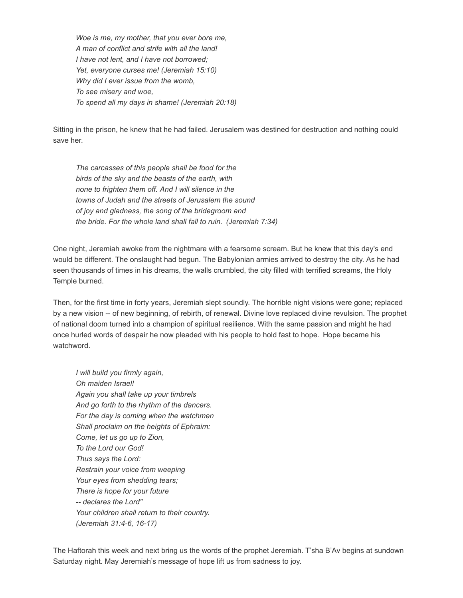*Woe is me, my mother, that you ever bore me, A man of conflict and strife with all the land! I have not lent, and I have not borrowed; Yet, everyone curses me! (Jeremiah 15:10) Why did I ever issue from the womb, To see misery and woe, To spend all my days in shame! (Jeremiah 20:18)* 

Sitting in the prison, he knew that he had failed. Jerusalem was destined for destruction and nothing could save her.

*The carcasses of this people shall be food for the birds of the sky and the beasts of the earth, with none to frighten them off. And I will silence in the towns of Judah and the streets of Jerusalem the sound of joy and gladness, the song of the bridegroom and the bride. For the whole land shall fall to ruin.  (Jeremiah 7:34)* 

One night, Jeremiah awoke from the nightmare with a fearsome scream. But he knew that this day's end would be different. The onslaught had begun. The Babylonian armies arrived to destroy the city. As he had seen thousands of times in his dreams, the walls crumbled, the city filled with terrified screams, the Holy Temple burned.

Then, for the first time in forty years, Jeremiah slept soundly. The horrible night visions were gone; replaced by a new vision -- of new beginning, of rebirth, of renewal. Divine love replaced divine revulsion. The prophet of national doom turned into a champion of spiritual resilience. With the same passion and might he had once hurled words of despair he now pleaded with his people to hold fast to hope.  Hope became his watchword.

*I will build you firmly again, Oh maiden Israel! Again you shall take up your timbrels And go forth to the rhythm of the dancers. For the day is coming when the watchmen Shall proclaim on the heights of Ephraim: Come, let us go up to Zion, To the Lord our God! Thus says the Lord: Restrain your voice from weeping Your eyes from shedding tears; There is hope for your future -- declares the Lord" Your children shall return to their country. (Jeremiah 31:4-6, 16-17)* 

The Haftorah this week and next bring us the words of the prophet Jeremiah. T'sha B'Av begins at sundown Saturday night. May Jeremiah's message of hope lift us from sadness to joy.